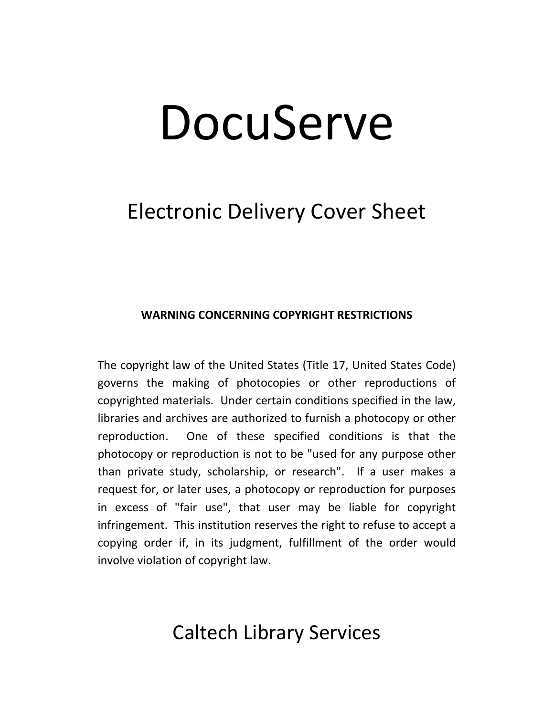# DocuServe

# Electronic Delivery Cover Sheet

# **WARNING CONCERNING COPYRIGHT RESTRICTIONS**

The copyright law of the United States (Title 17, United States Code) governs the making of photocopies or other reproductions of copyrighted materials. Under certain conditions specified in the law, libraries and archives are authorized to furnish a photocopy or other reproduction. One of these specified conditions is that the photocopy or reproduction is not to be "used for any purpose other than private study, scholarship, or research". If a user makes a request for, or later uses, a photocopy or reproduction for purposes in excess of "fair use", that user may be liable for copyright infringement. This institution reserves the right to refuse to accept a copying order if, in its judgment, fulfillment of the order would involve violation of copyright law.

# Caltech Library Services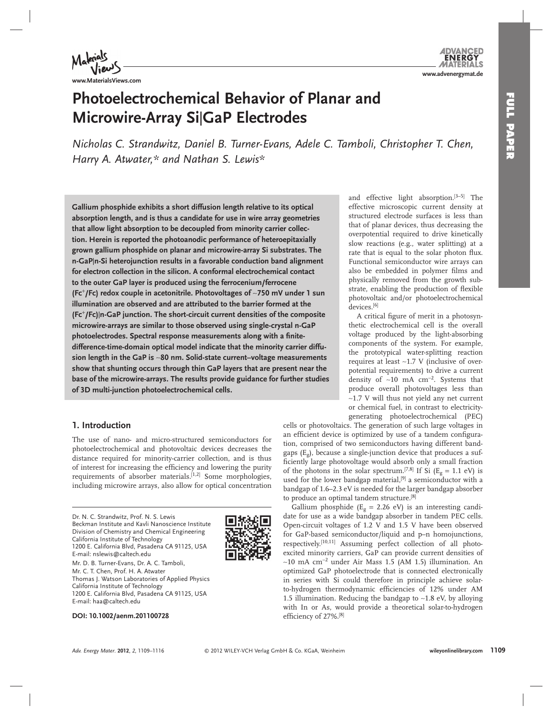

**www.MaterialsViews.com**

#### **DVANCED ENERGY** MATERIALS **www.advenergymat.de**

# **Photoelectrochemical Behavior of Planar and Microwire-Array Si** | **GaP Electrodes**

*Nicholas C. Strandwitz, Daniel B. Turner-Evans, Adele C. Tamboli, Christopher T. Chen, Harry A. Atwater , \* and Nathan S. Lewis \** 

 **Gallium phosphide exhibits a short diffusion length relative to its optical absorption length, and is thus a candidate for use in wire array geometries that allow light absorption to be decoupled from minority carrier collection. Herein is reported the photoanodic performance of heteroepitaxially grown gallium phosphide on planar and microwire-array Si substrates. The n-GaP** | **n-Si heterojunction results in a favorable conduction band alignment for electron collection in the silicon. A conformal electrochemical contact to the outer GaP layer is produced using the ferrocenium/ferrocene (Fc** + **/Fc) redox couple in acetonitrile. Photovoltages of** ∼ **750 mV under 1 sun illumination are observed and are attributed to the barrier formed at the (Fc** <sup>+</sup> **/Fc)** | **n-GaP junction. The short-circuit current densities of the composite microwire-arrays are similar to those observed using single-crystal n-GaP**  photoelectrodes. Spectral response measurements along with a finite **difference-time-domain optical model indicate that the minority carrier diffusion length in the GaP is** ∼ **80 nm. Solid-state current–voltage measurements show that shunting occurs through thin GaP layers that are present near the base of the microwire-arrays. The results provide guidance for further studies of 3D multi-junction photoelectrochemical cells.** 

# **1. Introduction**

 The use of nano- and micro-structured semiconductors for photoelectrochemical and photovoltaic devices decreases the distance required for minority-carrier collection, and is thus of interest for increasing the efficiency and lowering the purity requirements of absorber materials.<sup>[1,2]</sup> Some morphologies, including microwire arrays, also allow for optical concentration

 Dr. N. C. Strandwitz, Prof. N. S. Lewis Beckman Institute and Kavli Nanoscience Institute Division of Chemistry and Chemical Engineering California Institute of Technology 1200 E. California Blvd, Pasadena CA 91125, USA E-mail: nslewis@caltech.edu

 Mr. D. B. Turner-Evans, Dr. A. C. Tamboli, Mr. C. T. Chen, Prof. H. A. Atwater Thomas J. Watson Laboratories of Applied Physics California Institute of Technology 1200 E. California Blvd, Pasadena CA 91125, USA E-mail: haa@caltech.edu

 **DOI: 10.1002/aenm.201100728** 

and effective light absorption.<sup>[3-5]</sup> The effective microscopic current density at structured electrode surfaces is less than that of planar devices, thus decreasing the overpotential required to drive kinetically slow reactions (e.g., water splitting) at a rate that is equal to the solar photon flux. Functional semiconductor wire arrays can also be embedded in polymer films and physically removed from the growth substrate, enabling the production of flexible photovoltaic and/or photoelectrochemical devices. [6]

A critical figure of merit in a photosynthetic electrochemical cell is the overall voltage produced by the light-absorbing components of the system. For example, the prototypical water-splitting reaction requires at least ∼ 1.7 V (inclusive of overpotential requirements) to drive a current density of ~10 mA cm<sup>-2</sup>. Systems that produce overall photovoltages less than ∼ 1.7 V will thus not yield any net current or chemical fuel, in contrast to electricitygenerating photoelectrochemical (PEC)

cells or photovoltaics. The generation of such large voltages in an efficient device is optimized by use of a tandem configuration, comprised of two semiconductors having different bandgaps ( $E_g$ ), because a single-junction device that produces a sufficiently large photovoltage would absorb only a small fraction of the photons in the solar spectrum.<sup>[7,8]</sup> If Si ( $E_g = 1.1$  eV) is used for the lower bandgap material,<sup>[9]</sup> a semiconductor with a bandgap of 1.6–2.3 eV is needed for the larger bandgap absorber to produce an optimal tandem structure.<sup>[8]</sup>

Gallium phosphide ( $E<sub>g</sub> = 2.26$  eV) is an interesting candidate for use as a wide bandgap absorber in tandem PEC cells. Open-circuit voltages of 1.2 V and 1.5 V have been observed for GaP-based semiconductor/liquid and p–n homojunctions, respectively.<sup>[10,11]</sup> Assuming perfect collection of all photoexcited minority carriers, GaP can provide current densities of  $~\sim$ 10 mA cm<sup>-2</sup> under Air Mass 1.5 (AM 1.5) illumination. An optimized GaP photoelectrode that is connected electronically in series with Si could therefore in principle achieve solarto-hydrogen thermodynamic efficiencies of 12% under AM 1.5 illumination. Reducing the bandgap to ∼ 1.8 eV, by alloying with In or As, would provide a theoretical solar-to-hydrogen efficiency of 27%.<sup>[8]</sup>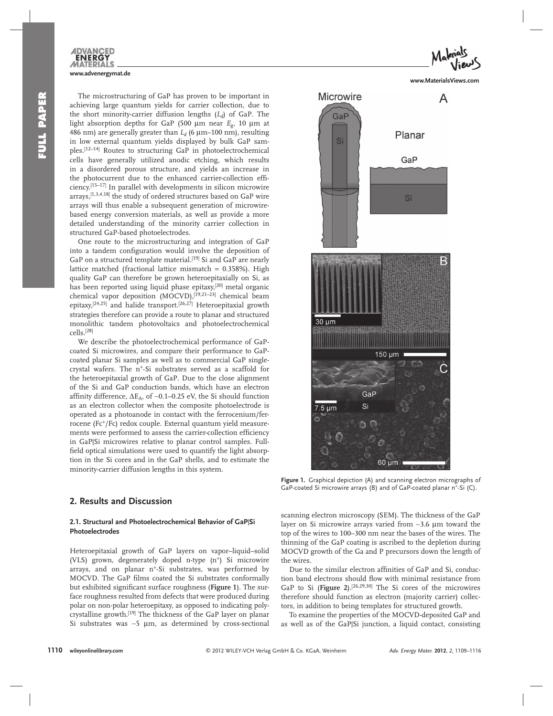

 The microstructuring of GaP has proven to be important in achieving large quantum yields for carrier collection, due to the short minority-carrier diffusion lengths  $(L_d)$  of GaP. The light absorption depths for GaP (500  $\mu$ m near  $E_{\alpha}$ , 10  $\mu$ m at 486 nm) are generally greater than  $L_d$  (6  $\mu$ m–100 nm), resulting in low external quantum yields displayed by bulk GaP samples.<sup>[12-14]</sup> Routes to structuring GaP in photoelectrochemical cells have generally utilized anodic etching, which results in a disordered porous structure, and yields an increase in the photocurrent due to the enhanced carrier-collection efficiency. [15–17] In parallel with developments in silicon microwire arrays,<sup>[1,3,4,18]</sup> the study of ordered structures based on GaP wire arrays will thus enable a subsequent generation of microwirebased energy conversion materials, as well as provide a more detailed understanding of the minority carrier collection in structured GaP-based photoelectrodes.

 One route to the microstructuring and integration of GaP into a tandem configuration would involve the deposition of GaP on a structured template material.<sup>[19]</sup> Si and GaP are nearly lattice matched (fractional lattice mismatch = 0.358%). High quality GaP can therefore be grown heteroepitaxially on Si, as has been reported using liquid phase epitaxy,<sup>[20]</sup> metal organic chemical vapor deposition (MOCVD),<sup>[19,21-23]</sup> chemical beam epitaxy,<sup>[24,25]</sup> and halide transport.<sup>[26,27]</sup> Heteroepitaxial growth strategies therefore can provide a route to planar and structured monolithic tandem photovoltaics and photoelectrochemical cells. [28]

 We describe the photoelectrochemical performance of GaPcoated Si microwires, and compare their performance to GaPcoated planar Si samples as well as to commercial GaP singlecrystal wafers. The  $n^{+}$ -Si substrates served as a scaffold for the heteroepitaxial growth of GaP. Due to the close alignment of the Si and GaP conduction bands, which have an electron affinity difference,  $\Delta E_A$ , of ~0.1–0.25 eV, the Si should function as an electron collector when the composite photoelectrode is operated as a photoanode in contact with the ferrocenium/ferrocene (Fc<sup>+</sup>/Fc) redox couple. External quantum yield measurements were performed to assess the carrier-collection efficiency in GaP|Si microwires relative to planar control samples. Fullfield optical simulations were used to quantify the light absorption in the Si cores and in the GaP shells, and to estimate the minority-carrier diffusion lengths in this system.

#### **2. Results and Discussion**

#### 2.1. Structural and Photoelectrochemical Behavior of GaP|Si **Photoelectrodes**

 Heteroepitaxial growth of GaP layers on vapor–liquid–solid (VLS) grown, degenerately doped n-type  $(n^{+})$  Si microwire arrays, and on planar  $n^+$ -Si substrates, was performed by MOCVD. The GaP films coated the Si substrates conformally but exhibited significant surface roughness (Figure 1). The surface roughness resulted from defects that were produced during polar on non-polar heteroepitaxy, as opposed to indicating polycrystalline growth.<sup>[19]</sup> The thickness of the GaP layer on planar Si substrates was ~5 μm, as determined by cross-sectional

**www.MaterialsViews.com**



Figure 1. Graphical depiction (A) and scanning electron micrographs of GaP-coated Si microwire arrays (B) and of GaP-coated planar  $n^+$ -Si (C).

scanning electron microscopy (SEM). The thickness of the GaP layer on Si microwire arrays varied from ~3.6 μm toward the top of the wires to 100–300 nm near the bases of the wires. The thinning of the GaP coating is ascribed to the depletion during MOCVD growth of the Ga and P precursors down the length of the wires.

Due to the similar electron affinities of GaP and Si, conduction band electrons should flow with minimal resistance from GaP to Si (Figure 2).<sup>[26,29,30]</sup> The Si cores of the microwires therefore should function as electron (majority carrier) collectors, in addition to being templates for structured growth.

 To examine the properties of the MOCVD-deposited GaP and as well as of the GaP|Si junction, a liquid contact, consisting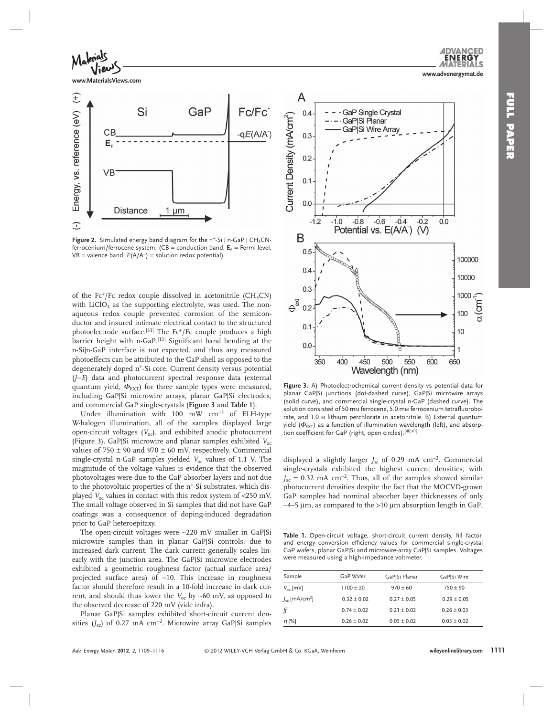**ENERG** 

 $\epsilon$ 



**Figure 2.** Simulated energy band diagram for the n<sup>+</sup>-Si | n-GaP | CH<sub>3</sub>CNferrocenium/ferrocene system. ( $CB =$  conduction band,  $E_F =$  Fermi level, VB = valence band,  $E(A/A^{-})$  = solution redox potential)

of the Fc<sup>+</sup>/Fc redox couple dissolved in acetonitrile (CH<sub>3</sub>CN) with  $LiClO<sub>4</sub>$  as the supporting electrolyte, was used. The nonaqueous redox couple prevented corrosion of the semiconductor and insured intimate electrical contact to the structured photoelectrode surface.<sup>[31]</sup> The Fc<sup>+</sup>/Fc couple produces a high barrier height with n-GaP.<sup>[11]</sup> Significant band bending at the n-Si|n-GaP interface is not expected, and thus any measured photoeffects can be attributed to the GaP shell as opposed to the degenerately doped  $n^+$ -Si core. Current density versus potential ( *J*−*E* ) data and photocurrent spectral response data (external quantum yield,  $\Phi_{\text{EXT}}$  for three sample types were measured, including GaP|Si microwire arrays, planar GaP|Si electrodes, and commercial GaP single-crystals ( **Figure 3** and **Table 1** ).

Under illumination with 100 mW  $\text{cm}^{-2}$  of ELH-type W- halogen illumination, all of the samples displayed large open-circuit voltages  $(V_{\alpha})$ , and exhibited anodic photocurrent (Figure 3). GaP|Si microwire and planar samples exhibited *V*<sub>oc</sub> values of  $750 \pm 90$  and  $970 \pm 60$  mV, respectively. Commercial single-crystal n-GaP samples yielded  $V_{oc}$  values of 1.1 V. The magnitude of the voltage values is evidence that the observed photovoltages were due to the GaP absorber layers and not due to the photovoltaic properties of the  $n^+$ -Si substrates, which displayed  $V_{\text{oc}}$  values in contact with this redox system of <250 mV. The small voltage observed in Si samples that did not have GaP coatings was a consequence of doping-induced degradation prior to GaP heteroepitaxy.

The open-circuit voltages were ∼220 mV smaller in GaP|Si microwire samples than in planar GaP|Si controls, due to increased dark current. The dark current generally scales linearly with the junction area. The GaP|Si microwire electrodes exhibited a geometric roughness factor (actual surface area/ projected surface area) of ~10. This increase in roughness factor should therefore result in a 10-fold increase in dark current, and should thus lower the *V*oc by ∼ 60 mV, as opposed to the observed decrease of 220 mV (vide infra).

Planar GaP|Si samples exhibited short-circuit current densities ( $J_{\rm sc}$ ) of 0.27 mA cm<sup>-2</sup>. Microwire array GaP|Si samples



Figure 3. A) Photoelectrochemical current density vs potential data for planar GaP|Si junctions (dot-dashed curve), GaP|Si microwire arrays (solid curve), and commercial single-crystal n-GaP (dashed curve). The solution consisted of 50 mm ferrocene, 5.0 mm ferrocenium tetrafluoroborate, and 1.0 M lithium perchlorate in acetonitrile. B) External quantum yield ( $\Phi_{\text{EXT}}$ ) as a function of illumination wavelength (left), and absorption coefficient for GaP (right, open circles).<sup>[40,41]</sup>

displayed a slightly larger  $J_{\rm sc}$  of 0.29 mA cm<sup>-2</sup>. Commercial single-crystals exhibited the highest current densities, with  $J_{\rm sc} = 0.32$  mA cm<sup>-2</sup>. Thus, all of the samples showed similar photocurrent densities despite the fact that the MOCVD-grown GaP samples had nominal absorber layer thicknesses of only  $~\sim$ 4–5 μm, as compared to the >10 μm absorption length in GaP.

Table 1. Open-circuit voltage, short-circuit current density, fill factor, and energy conversion efficiency values for commercial single-crystal GaP wafers, planar GaP|Si and microwire-array GaP|Si samples. Voltages were measured using a high-impedance voltmeter.

| GaP Wafer     | GaP Si Planar | GaP Si Wire     |
|---------------|---------------|-----------------|
| $1100 \pm 20$ | $970 + 60$    | $750 \pm 90$    |
| $0.32 + 0.02$ | $0.27 + 0.05$ | $0.29 \pm 0.05$ |
| $0.74 + 0.02$ | $0.21 + 0.02$ | $0.26 + 0.03$   |
| $0.26 + 0.02$ | $0.05 + 0.02$ | $0.05 \pm 0.02$ |
|               |               |                 |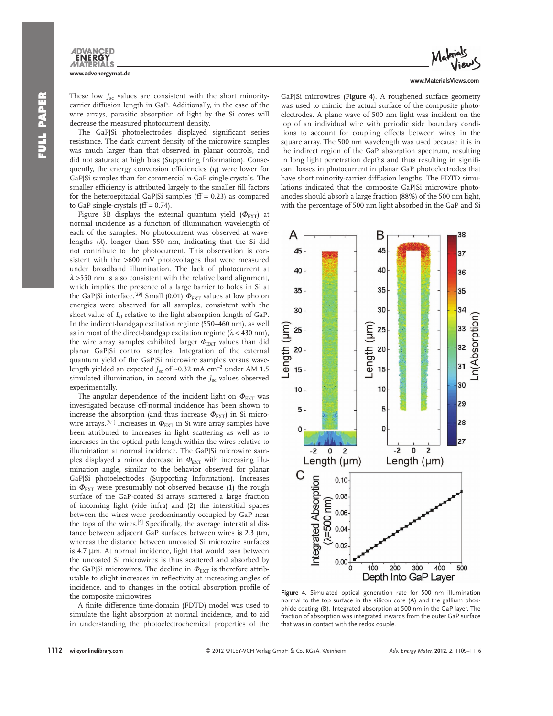

These low  $J_{\rm sc}$  values are consistent with the short minority carrier diffusion length in GaP. Additionally, in the case of the wire arrays, parasitic absorption of light by the Si cores will decrease the measured photocurrent density.

The GaP|Si photoelectrodes displayed significant series resistance. The dark current density of the microwire samples was much larger than that observed in planar controls, and did not saturate at high bias (Supporting Information). Consequently, the energy conversion efficiencies  $(\eta)$  were lower for GaP|Si samples than for commercial n-GaP single-crystals. The smaller efficiency is attributed largely to the smaller fill factors for the heteroepitaxial GaP $|Si$  samples (ff = 0.23) as compared to GaP single-crystals  $(ff = 0.74)$ .

Figure 3B displays the external quantum yield ( $\Phi_{\text{EXT}}$ ) at normal incidence as a function of illumination wavelength of each of the samples. No photocurrent was observed at wavelengths  $(\lambda)$ , longer than 550 nm, indicating that the Si did not contribute to the photocurrent. This observation is consistent with the >600 mV photovoltages that were measured under broadband illumination. The lack of photocurrent at  $\lambda$  > 550 nm is also consistent with the relative band alignment, which implies the presence of a large barrier to holes in Si at the GaP|Si interface. $^{[29]}$  Small (0.01)  $\Phi_{\rm EXT}$  values at low photon energies were observed for all samples, consistent with the short value of  $L<sub>d</sub>$  relative to the light absorption length of GaP. In the indirect-bandgap excitation regime (550–460 nm), as well as in most of the direct-bandgap excitation regime ( $\lambda$  < 430 nm), the wire array samples exhibited larger  $\Phi_{\text{EXT}}$  values than did planar GaP|Si control samples. Integration of the external quantum yield of the GaP|Si microwire samples versus wavelength yielded an expected *J*<sub>sc</sub> of ~0.32 mA cm<sup>-2</sup> under AM 1.5 simulated illumination, in accord with the *J<sub>sc</sub>* values observed experimentally.

The angular dependence of the incident light on  $\Phi_{\text{EXT}}$  was investigated because off-normal incidence has been shown to increase the absorption (and thus increase  $\Phi_{\text{EXT}}$ ) in Si microwire arrays. $^{[3,4]}$  Increases in  $\Phi_{\rm EXT}$  in Si wire array samples have been attributed to increases in light scattering as well as to increases in the optical path length within the wires relative to illumination at normal incidence. The GaP|Si microwire samples displayed a minor decrease in  $\Phi_{\text{EXT}}$  with increasing illumination angle, similar to the behavior observed for planar GaP|Si photoelectrodes (Supporting Information). Increases in  $\Phi_{\text{EXT}}$  were presumably not observed because (1) the rough surface of the GaP-coated Si arrays scattered a large fraction of incoming light (vide infra) and (2) the interstitial spaces between the wires were predominantly occupied by GaP near the tops of the wires.<sup>[4]</sup> Specifically, the average interstitial distance between adjacent GaP surfaces between wires is 2.3 μm, whereas the distance between uncoated Si microwire surfaces is 4.7  $\mu$ m. At normal incidence, light that would pass between the uncoated Si microwires is thus scattered and absorbed by the GaP|Si microwires. The decline in  $\Phi_{\text{EXT}}$  is therefore attributable to slight increases in reflectivity at increasing angles of incidence, and to changes in the optical absorption profile of the composite microwires.

A finite difference time-domain (FDTD) model was used to simulate the light absorption at normal incidence, and to aid in understanding the photoelectrochemical properties of the



GaP|Si microwires (Figure 4). A roughened surface geometry was used to mimic the actual surface of the composite photoelectrodes. A plane wave of 500 nm light was incident on the top of an individual wire with periodic side boundary conditions to account for coupling effects between wires in the square array. The 500 nm wavelength was used because it is in the indirect region of the GaP absorption spectrum, resulting in long light penetration depths and thus resulting in significant losses in photocurrent in planar GaP photoelectrodes that have short minority-carrier diffusion lengths. The FDTD simulations indicated that the composite GaP|Si microwire photoanodes should absorb a large fraction (88%) of the 500 nm light, with the percentage of 500 nm light absorbed in the GaP and Si



Figure 4. Simulated optical generation rate for 500 nm illumination normal to the top surface in the silicon core (A) and the gallium phosphide coating (B). Integrated absorption at 500 nm in the GaP layer. The fraction of absorption was integrated inwards from the outer GaP surface that was in contact with the redox couple.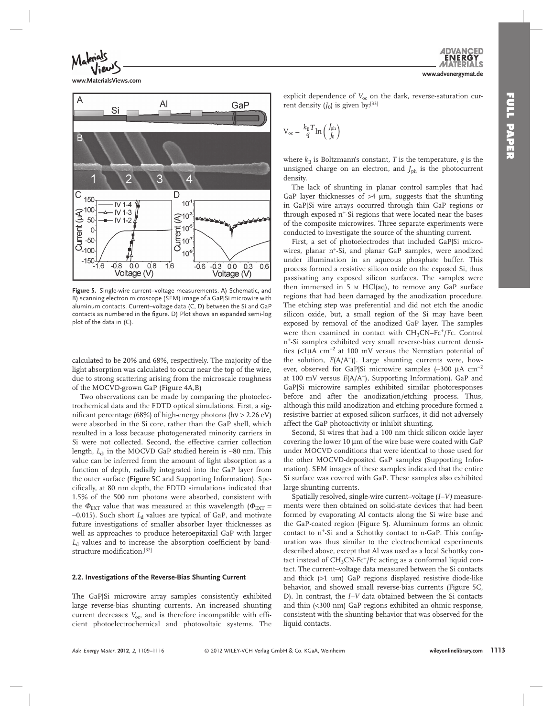**www.advenergymat.de**

**ENERG** 



**www.MaterialsViews.com**



Figure 5. Single-wire current-voltage measurements. A) Schematic, and B) scanning electron microscope (SEM) image of a GaP|Si microwire with aluminum contacts. Current–voltage data (C, D) between the Si and GaP contacts as numbered in the figure. D) Plot shows an expanded semi-log plot of the data in (C).

calculated to be 20% and 68%, respectively. The majority of the light absorption was calculated to occur near the top of the wire, due to strong scattering arising from the microscale roughness of the MOCVD-grown GaP (Figure 4A,B)

 Two observations can be made by comparing the photoelectrochemical data and the FDTD optical simulations. First, a significant percentage (68%) of high-energy photons (hv  $> 2.26$  eV) were absorbed in the Si core, rather than the GaP shell, which resulted in a loss because photogenerated minority carriers in Si were not collected. Second, the effective carrier collection length, *L*<sub>d</sub>, in the MOCVD GaP studied herein is ∼80 nm. This value can be inferred from the amount of light absorption as a function of depth, radially integrated into the GaP layer from the outer surface ( **Figure 5** C and Supporting Information). Specifi cally, at 80 nm depth, the FDTD simulations indicated that 1.5% of the 500 nm photons were absorbed, consistent with the  $\Phi_{\text{EXT}}$  value that was measured at this wavelength ( $\Phi_{\text{EXT}}$  = ∼ 0.015). Such short *L*d values are typical of GaP, and motivate future investigations of smaller absorber layer thicknesses as well as approaches to produce heteroepitaxial GaP with larger  $L<sub>d</sub>$  values and to increase the absorption coefficient by bandstructure modification.<sup>[32]</sup>

#### **2.2. Investigations of the Reverse-Bias Shunting Current**

The GaP|Si microwire array samples consistently exhibited large reverse-bias shunting currents. An increased shunting current decreases  $V_{\text{oc}}$ , and is therefore incompatible with efficient photoelectrochemical and photovoltaic systems. The

explicit dependence of  $V_{\text{oc}}$  on the dark, reverse-saturation current density  $(J_0)$  is given by:<sup>[33]</sup>

$$
V_{\rm oc} = \frac{k_{\rm B}T}{q} \ln\left(\frac{J_{\rm ph}}{J_0}\right)
$$

where  $k_B$  is Boltzmann's constant, *T* is the temperature, *q* is the unsigned charge on an electron, and  $J_{ph}$  is the photocurrent density.

 The lack of shunting in planar control samples that had GaP layer thicknesses of  $>4 \mu m$ , suggests that the shunting in GaP|Si wire arrays occurred through thin GaP regions or through exposed n<sup>+</sup>-Si regions that were located near the bases of the composite microwires. Three separate experiments were conducted to investigate the source of the shunting current.

First, a set of photoelectrodes that included GaP Si microwires, planar  $n^+$ -Si, and planar GaP samples, were anodized under illumination in an aqueous phosphate buffer. This process formed a resistive silicon oxide on the exposed Si, thus passivating any exposed silicon surfaces. The samples were then immersed in 5  $\mu$  HCl(aq), to remove any GaP surface regions that had been damaged by the anodization procedure. The etching step was preferential and did not etch the anodic silicon oxide, but, a small region of the Si may have been exposed by removal of the anodized GaP layer. The samples were then examined in contact with  $CH<sub>3</sub>CN-Fc<sup>+</sup>/Fc$ . Control n<sup>+</sup>-Si samples exhibited very small reverse-bias current densities (<1μA cm<sup>-2</sup> at 100 mV versus the Nernstian potential of the solution,  $E(A/A^-)$ ). Large shunting currents were, however, observed for GaP|Si microwire samples (~300 μA cm<sup>-2</sup> at 100 mV versus *E*(A/A<sup>-</sup>), Supporting Information). GaP and GaP|Si microwire samples exhibited similar photoresponses before and after the anodization/etching process. Thus, although this mild anodization and etching procedure formed a resistive barrier at exposed silicon surfaces, it did not adversely affect the GaP photoactivity or inhibit shunting.

 Second, Si wires that had a 100 nm thick silicon oxide layer covering the lower 10 μm of the wire base were coated with GaP under MOCVD conditions that were identical to those used for the other MOCVD-deposited GaP samples (Supporting Information). SEM images of these samples indicated that the entire Si surface was covered with GaP. These samples also exhibited large shunting currents.

 Spatially resolved, single-wire current–voltage ( *I–V)* measurements were then obtained on solid-state devices that had been formed by evaporating Al contacts along the Si wire base and the GaP-coated region (Figure 5). Aluminum forms an ohmic contact to  $n^{+}$ -Si and a Schottky contact to n-GaP. This configuration was thus similar to the electrochemical experiments described above, except that Al was used as a local Schottky contact instead of  $CH_3CN\text{-}Fc^+/Fc$  acting as a conformal liquid contact. The current–voltage data measured between the Si contacts and thick  $(>1$  um) GaP regions displayed resistive diode-like behavior, and showed small reverse-bias currents (Figure 5C, D). In contrast, the *I–V* data obtained between the Si contacts and thin (<300 nm) GaP regions exhibited an ohmic response, consistent with the shunting behavior that was observed for the liquid contacts.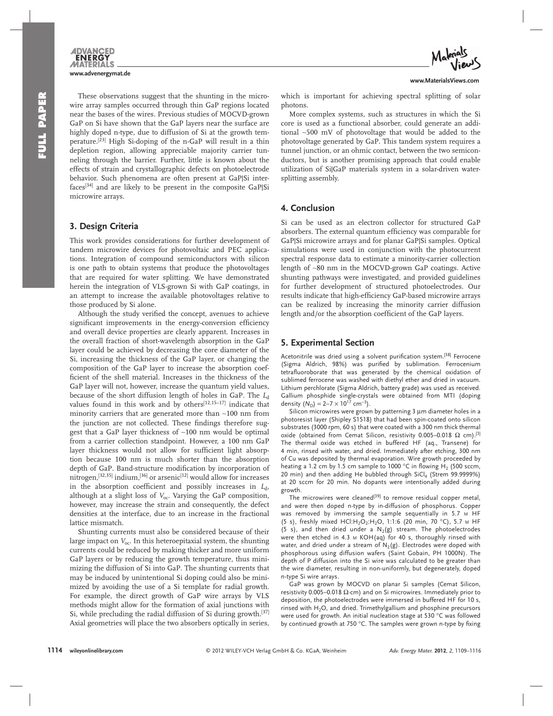

 These observations suggest that the shunting in the microwire array samples occurred through thin GaP regions located near the bases of the wires. Previous studies of MOCVD-grown GaP on Si have shown that the GaP layers near the surface are highly doped n-type, due to diffusion of Si at the growth temperature.<sup>[23]</sup> High Si-doping of the n-GaP will result in a thin depletion region, allowing appreciable majority carrier tunneling through the barrier. Further, little is known about the effects of strain and crystallographic defects on photoelectrode behavior. Such phenomena are often present at GaP|Si interfaces<sup>[34]</sup> and are likely to be present in the composite GaP|Si microwire arrays.

## **3. Design Criteria**

 This work provides considerations for further development of tandem microwire devices for photovoltaic and PEC applications. Integration of compound semiconductors with silicon is one path to obtain systems that produce the photovoltages that are required for water splitting. We have demonstrated herein the integration of VLS-grown Si with GaP coatings, in an attempt to increase the available photovoltages relative to those produced by Si alone.

Although the study verified the concept, avenues to achieve significant improvements in the energy-conversion efficiency and overall device properties are clearly apparent. Increases in the overall fraction of short-wavelength absorption in the GaP layer could be achieved by decreasing the core diameter of the Si, increasing the thickness of the GaP layer, or changing the composition of the GaP layer to increase the absorption coefficient of the shell material. Increases in the thickness of the GaP layer will not, however, increase the quantum yield values, because of the short diffusion length of holes in GaP. The *L*<sub>d</sub> values found in this work and by others $[12,15-17]$  indicate that minority carriers that are generated more than ∼ 100 nm from the junction are not collected. These findings therefore suggest that a GaP layer thickness of ∼ 100 nm would be optimal from a carrier collection standpoint. However, a 100 nm GaP layer thickness would not allow for sufficient light absorption because 100 nm is much shorter than the absorption depth of GaP. Band-structure modification by incorporation of nitrogen,<sup>[32,35]</sup> indium,<sup>[36]</sup> or arsenic<sup>[12]</sup> would allow for increases in the absorption coefficient and possibly increases in  $L_d$ , although at a slight loss of  $V_{\text{oc}}$ . Varying the GaP composition, however, may increase the strain and consequently, the defect densities at the interface, due to an increase in the fractional lattice mismatch.

 Shunting currents must also be considered because of their large impact on  $V_{\text{oc}}$ . In this heteroepitaxial system, the shunting currents could be reduced by making thicker and more uniform GaP layers or by reducing the growth temperature, thus minimizing the diffusion of Si into GaP. The shunting currents that may be induced by unintentional Si doping could also be minimized by avoiding the use of a Si template for radial growth. For example, the direct growth of GaP wire arrays by VLS methods might allow for the formation of axial junctions with Si, while precluding the radial diffusion of Si during growth.<sup>[37]</sup> Axial geometries will place the two absorbers optically in series,

which is important for achieving spectral splitting of solar photons.

 More complex systems, such as structures in which the Si core is used as a functional absorber, could generate an additional ∼ 500 mV of photovoltage that would be added to the photovoltage generated by GaP. This tandem system requires a tunnel junction, or an ohmic contact, between the two semiconductors, but is another promising approach that could enable utilization of Si|GaP materials system in a solar-driven watersplitting assembly.

## **4. Conclusion**

 Si can be used as an electron collector for structured GaP absorbers. The external quantum efficiency was comparable for GaP|Si microwire arrays and for planar GaP|Si samples. Optical simulations were used in conjunction with the photocurrent spectral response data to estimate a minority-carrier collection length of ∼ 80 nm in the MOCVD-grown GaP coatings. Active shunting pathways were investigated, and provided guidelines for further development of structured photoelectrodes. Our results indicate that high-efficiency GaP-based microwire arrays can be realized by increasing the minority carrier diffusion length and/or the absorption coefficient of the GaP layers.

## **5. Experimental Section**

Acetonitrile was dried using a solvent purification system.<sup>[38]</sup> Ferrocene (Sigma Aldrich, 98%) was purified by sublimation. Ferrocenium tetrafluoroborate that was generated by the chemical oxidation of sublimed ferrocene was washed with diethyl ether and dried in vacuum. Lithium perchlorate (Sigma Aldrich, battery grade) was used as received. Gallium phosphide single-crystals were obtained from MTI (doping density  $(N_D) = 2-7 \times 10^{17}$  cm<sup>-3</sup>).

Silicon microwires were grown by patterning 3 μm diameter holes in a photoresist layer (Shipley S1518) that had been spin-coated onto silicon substrates (3000 rpm, 60 s) that were coated with a 300 nm thick thermal oxide (obtained from Cemat Silicon, resistivity 0.005–0.018 Ω cm).<sup>[3]</sup> The thermal oxide was etched in buffered HF (aq., Transene) for 4 min, rinsed with water, and dried. Immediately after etching, 300 nm of Cu was deposited by thermal evaporation. Wire growth proceeded by heating a 1.2 cm by 1.5 cm sample to 1000 °C in flowing H<sub>2</sub> (500 sccm, 20 min) and then adding He bubbled through  $SiCl<sub>4</sub>$  (Strem 99.9999%) at 20 sccm for 20 min. No dopants were intentionally added during growth.

The microwires were cleaned<sup>[39]</sup> to remove residual copper metal, and were then doped n-type by in-diffusion of phosphorus. Copper was removed by immersing the sample sequentially in 5.7 M HF (5 s), freshly mixed HCl:H<sub>2</sub>O<sub>2</sub>:H<sub>2</sub>O, 1:1:6 (20 min, 70 °C), 5.7 M HF (5 s), and then dried under a  $N_2(g)$  stream. The photoelectrodes were then etched in 4.3 M KOH(aq) for 40 s, thoroughly rinsed with water, and dried under a stream of  $N_2(g)$ . Electrodes were doped with phosphorous using diffusion wafers (Saint Gobain, PH 1000N). The depth of P diffusion into the Si wire was calculated to be greater than the wire diameter, resulting in non-uniformly, but degenerately, doped n-type Si wire arrays.

 GaP was grown by MOCVD on planar Si samples (Cemat Silicon, resistivity 0.005–0.018  $\Omega$  cm) and on Si microwires. Immediately prior to deposition, the photoelectrodes were immersed in buffered HF for 10 s, rinsed with  $H_2O$ , and dried. Trimethylgallium and phosphine precursors were used for growth. An initial nucleation stage at 530 °C was followed by continued growth at 750 °C. The samples were grown n-type by fixing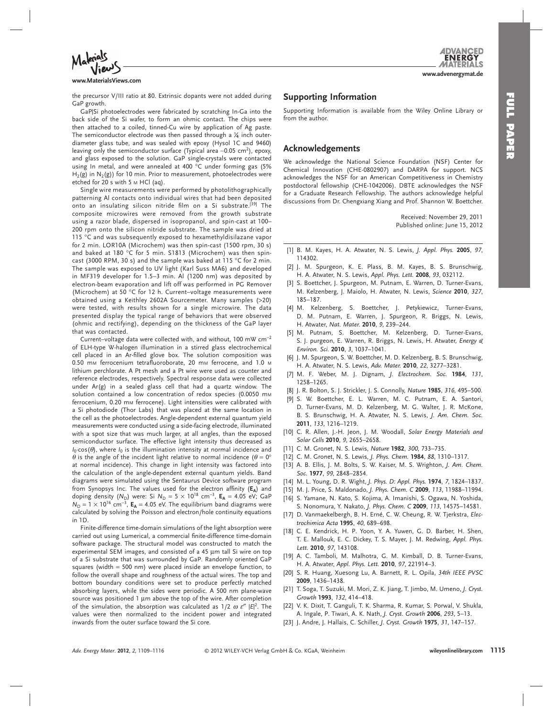

**www.advenergymat.de**

**www.MaterialsViews.com**

the precursor V/III ratio at 80. Extrinsic dopants were not added during GaP growth.

GaPISi photoelectrodes were fabricated by scratching In-Ga into the back side of the Si wafer, to form an ohmic contact. The chips were then attached to a coiled, tinned-Cu wire by application of Ag paste. The semiconductor electrode was then passed through a  $\frac{1}{4}$  inch outerdiameter glass tube, and was sealed with epoxy (Hysol 1C and 9460) leaving only the semiconductor surface (Typical area ~0.05 cm<sup>2</sup>), epoxy, and glass exposed to the solution. GaP single-crystals were contacted using In metal, and were annealed at 400 °C under forming gas (5%  $H_2(g)$  in  $N_2(g)$ ) for 10 min. Prior to measurement, photoelectrodes were etched for 20 s with 5 M HCl (aq).

 Single wire measurements were performed by photolithographically patterning Al contacts onto individual wires that had been deposited onto an insulating silicon nitride film on a Si substrate.<sup>[39]</sup> The composite microwires were removed from the growth substrate using a razor blade, dispersed in isopropanol, and spin-cast at 100– 200 rpm onto the silicon nitride substrate. The sample was dried at 115 °C and was subsequently exposed to hexamethyldisilazane vapor for 2 min. LOR10A (Microchem) was then spin-cast (1500 rpm, 30 s) and baked at 180 °C for 5 min. S1813 (Microchem) was then spincast (3000 RPM, 30 s) and the sample was baked at 115  $\degree$ C for 2 min. The sample was exposed to UV light (Karl Suss MA6) and developed in MF319 developer for 1.5–3 min. Al (1200 nm) was deposited by electron-beam evaporation and lift off was performed in PG Remover (Microchem) at 50 $\degree$ C for 12 h. Current-voltage measurements were obtained using a Keithley 2602A Sourcemeter. Many samples (>20) were tested, with results shown for a single microwire. The data presented display the typical range of behaviors that were observed (ohmic and rectifying), depending on the thickness of the GaP layer that was contacted.

Current–voltage data were collected with, and without, 100 mW cm<sup>-2</sup> of ELH-type W-halogen illumination in a stirred glass electrochemical cell placed in an Ar-filled glove box. The solution composition was 0.50 mm ferrocenium tetrafluoroborate, 20 mm ferrocene, and 1.0 m lithium perchlorate. A Pt mesh and a Pt wire were used as counter and reference electrodes, respectively. Spectral response data were collected under Ar(g) in a sealed glass cell that had a quartz window. The solution contained a low concentration of redox species (0.0050 mm ferrocenium, 0.20 mm ferrocene). Light intensities were calibrated with a Si photodiode (Thor Labs) that was placed at the same location in the cell as the photoelectrodes. Angle-dependent external quantum yield measurements were conducted using a side-facing electrode, illuminated with a spot size that was much larger, at all angles, than the exposed semiconductor surface. The effective light intensity thus decreased as  $I_0$ · cos( $\theta$ ), where  $I_0$  is the illumination intensity at normal incidence and  $\theta$  is the angle of the incident light relative to normal incidence ( $\theta = 0^{\circ}$ at normal incidence). This change in light intensity was factored into the calculation of the angle-dependent external quantum yields. Band diagrams were simulated using the Sentaurus Device software program from Synopsys Inc. The values used for the electron affinity (EA) and doping density ( $N_D$ ) were: Si  $N_D = 5 \times 10^{18}$  cm<sup>-3</sup>,  $E_A = 4.05$  eV; GaP  $N_D = 1 \times 10^{16}$  cm<sup>-3</sup>,  $E_A = 4.05$  eV. The equilibrium band diagrams were calculated by solving the Poisson and electron/hole continuity equations in 1D.

 Finite-difference time-domain simulations of the light absorption were carried out using Lumerical, a commercial finite-difference time-domain software package. The structural model was constructed to match the experimental SEM images, and consisted of a 45 μm tall Si wire on top of a Si substrate that was surrounded by GaP. Randomly oriented GaP squares (width = 500 nm) were placed inside an envelope function, to follow the overall shape and roughness of the actual wires. The top and bottom boundary conditions were set to produce perfectly matched absorbing layers, while the sides were periodic. A 500 nm plane-wave source was positioned 1 μm above the top of the wire. After completion of the simulation, the absorption was calculated as  $1/2$   $\omega \varepsilon''$   $|E|^2$ . The values were then normalized to the incident power and integrated inwards from the outer surface toward the Si core.

# **Supporting Information**

 Supporting Information is available from the Wiley Online Library or from the author.

### **Acknowledgements**

 We acknowledge the National Science Foundation (NSF) Center for Chemical Innovation (CHE-0802907) and DARPA for support. NCS acknowledges the NSF for an American Competitiveness in Chemistry postdoctoral fellowship (CHE-1042006). DBTE acknowledges the NSF for a Graduate Research Fellowship. The authors acknowledge helpful discussions from Dr. Chengxiang Xiang and Prof. Shannon W. Boettcher.

> Received: November 29, 2011 Published online: June 15, 2012

- [1] B. M. Kayes, H. A. Atwater, N. S. Lewis, *J. Appl. Phys.* 2005, 97, 114302.
- [2] J. M. Spurgeon, K. E. Plass, B. M. Kayes, B. S. Brunschwig, H. A. Atwater, N. S. Lewis, Appl. Phys. Lett. 2008, 93, 032112.
- [3] S. Boettcher, J. Spurgeon, M. Putnam, E. Warren, D. Turner-Evans, M. Kelzenberg, J. Maiolo, H. Atwater, N. Lewis, Science 2010, 327, 185-187.
- [4] M. Kelzenberg, S. Boettcher, J. Petykiewicz, Turner-Evans, D. M. Putnam, E. Warren, J. Spurgeon, R. Briggs, N. Lewis, H. Atwater, *Nat. Mater.* **2010**, 9, 239-244.
- [5] M. Putnam, S. Boettcher, M. Kelzenberg, D. Turner-Evans, S. J. purgeon, E. Warren, R. Briggs, N. Lewis, H. Atwater, *Energy & Environ. Sci.* **2010** , *3* , 1037 – 1041 .
- [6] J. M. Spurgeon, S. W. Boettcher, M. D. Kelzenberg, B. S. Brunschwig, H. A. Atwater, N. S. Lewis, Adv. Mater. 2010, 22, 3277-3281.
- [7] M. F. Weber, M. J. Dignam, J. Electrochem. Soc. 1984, 131, 1258-1265.
- [8] J. R. Bolton, S. J. Strickler, J. S. Connolly, *Nature* 1985, 316, 495-500.
- [9] S. W. Boettcher, E. L. Warren, M. C. Putnam, E. A. Santori, D. Turner-Evans, M. D. Kelzenberg, M. G. Walter, J. R. McKone, B. S. Brunschwig, H. A. Atwater, N. S. Lewis, *J. Am. Chem. Soc.* **2011** , *133* , 1216 – 1219 .
- [10] C. R. Allen, J.-H. Jeon, J. M. Woodall, Solar Energy Materials and *Solar Cells* **2010** , *9* , 2655 – 2658 .
- [11] C. M. Gronet, N. S. Lewis, *Nature* 1982, 300, 733-735.
- [12] C. M. Gronet, N. S. Lewis, J. Phys. Chem. **1984**, 88, 1310-1317.
- [13] A. B. Ellis, J. M. Bolts, S. W. Kaiser, M. S. Wrighton, *J. Am. Chem. Soc.* **1977** , *99* , 2848 – 2854 .
- [14] M. L. Young, D. R. Wight, J. Phys. D: Appl. Phys. 1974, 7, 1824-1837.
- [15] M. J. Price, S. Maldonado, J. Phys. Chem. C 2009, 113, 11988-11994.
- [16] S. Yamane, N. Kato, S. Kojima, A. Imanishi, S. Ogawa, N. Yoshida, S. Nonomura, Y. Nakato, J. Phys. Chem. C 2009, 113, 14575-14581.
- [17] D. Vanmaekelbergh, B. H. Erné, C. W. Cheung, R. W. Tjerkstra, *Electrochimica Acta* **1995** , *40* , 689 – 698 .
- [18] C. E. Kendrick, H. P. Yoon, Y. A. Yuwen, G. D. Barber, H. Shen, T. E. Mallouk, E. C. Dickey, T. S. Mayer, J. M. Redwing, Appl. Phys. *Lett.* **2010** , *97* , 143108 .
- [19] A. C. Tamboli, M. Malhotra, G. M. Kimball, D. B. Turner-Evans, H. A. Atwater, Appl. Phys. Lett. 2010, 97, 221914-3.
- [ 20 ] S. R. Huang , Xuesong Lu , A. Barnett , R. L. Opila , *34th IEEE PVSC* **2009** , 1436 – 1438 .
- [21] T. Soga, T. Suzuki, M. Mori, Z. K. Jiang, T. Jimbo, M. Umeno, *J. Cryst. Growth* **1993** , *132* , 414 – 418 .
- [22] V. K. Dixit, T. Ganguli, T. K. Sharma, R. Kumar, S. Porwal, V. Shukla, A. Ingale , P. Tiwari , A. K. Nath , *J. Cryst. Growth* **2006** , *293* , 5 – 13 .
- [ 23 ] J. Andre , J. Hallais , C. Schiller , *J. Cryst. Growth* **1975** , *31* , 147 157 .